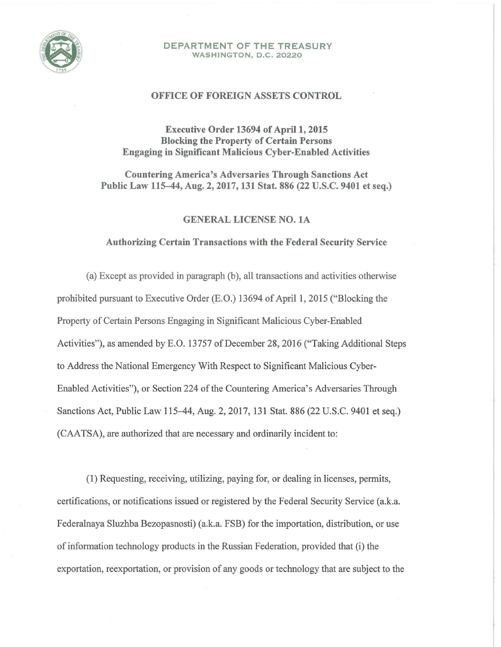

#### DEPARTMENT OF THE TREASURY WASHINGTON, D.C. 20220

### OFFICE OF FOREIGN ASSETS CONTROL

# Executive Order 13694 of April 1, 2015 Blocking the Property of Certain Persons Engaging in Significant Malicious Cyber-Enabled Activities

Countering America's Adversaries Through Sanctions Act Public Law 115-44, Aug. 2, 2017, 131 Stat. 886 (22 U.S.C. 9401 et seq.)

## GENERAL LICENSE NO. lA

#### Authorizing Certain Transactions with the Federal Security Service

(a) Except as provided in paragraph (b), all transactions and activities otherwise prohibited pursuant to Executive Order (E.O.) 13694 of April 1, 2015 ("Blocking the Property of Certain Persons Engaging in Significant Malicious Cyber-Enabled Activities"), as amended by E.O. 13757 of December 28, 2016 ("Taking Additional Steps to Address the National Emergency With Respect to Significant Malicious Cyber-Enabled Activities"), or Section 224 of the Countering America's Adversaries Through Sanctions Act, Public Law 115-44, Aug. 2, 2017, 131 Stat. 886 (22 U.S.C. 9401 et seq.) (CAA TSA), are authorized that are necessary and ordinarily incident to:

(1) Requesting, receiving, utilizing, paying for, or dealing in licenses, permits, certifications, or notifications issued or registered by the Federal Security Service (a.k.a. Federalnaya Sluzhba Bezopasnosti) (a.k.a. FSB) for the importation, distribution, or use of information technology products in the Russian Federation, provided that (i) the exportation, reexportation, or provision of any goods or technology that are subject to the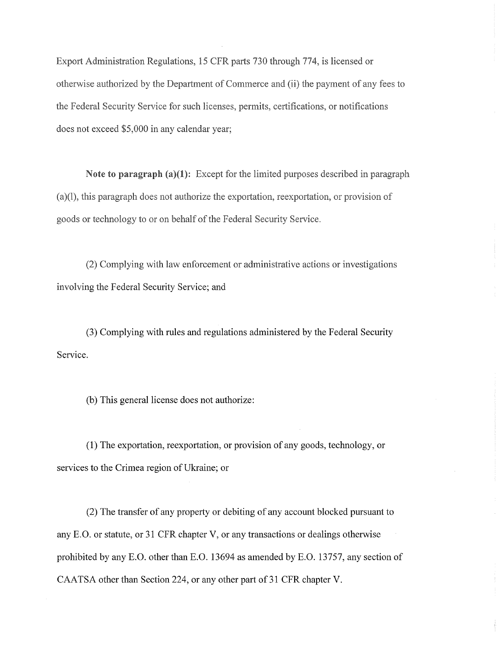Export Administration Regulations, 15 CFR parts 730 through 774, is licensed or otherwise authorized by the Department of Commerce and (ii) the payment of any fees to the Federal Security Service for such licenses, permits, certifications, or notifications does not exceed \$5,000 in any calendar year;

Note to paragraph  $(a)(1)$ : Except for the limited purposes described in paragraph (a)(l), this paragraph does not authorize the exportation, reexportation, or provision of goods or technology to or on behalf of the Federal Security Service.

(2) Complying with law enforcement or administrative actions or investigations involving the Federal Security Service; and

(3) Complying with rules and regulations administered by the Federal Security Service.

(b) This general license does not authorize:

(1) The exportation, reexportation, or provision of any goods, technology, or services to the Crimea region of Ukraine; or

(2) The transfer of any property or debiting of any account blocked pursuant to any E.O. or statute, or 31 CFR chapter V, or any transactions or dealings otherwise prohibited by any E.O. other than E.O. 13694 as amended by E.O. 13757, any section of CAATSA other than Section 224, or any other part of 31 CFR chapter V.